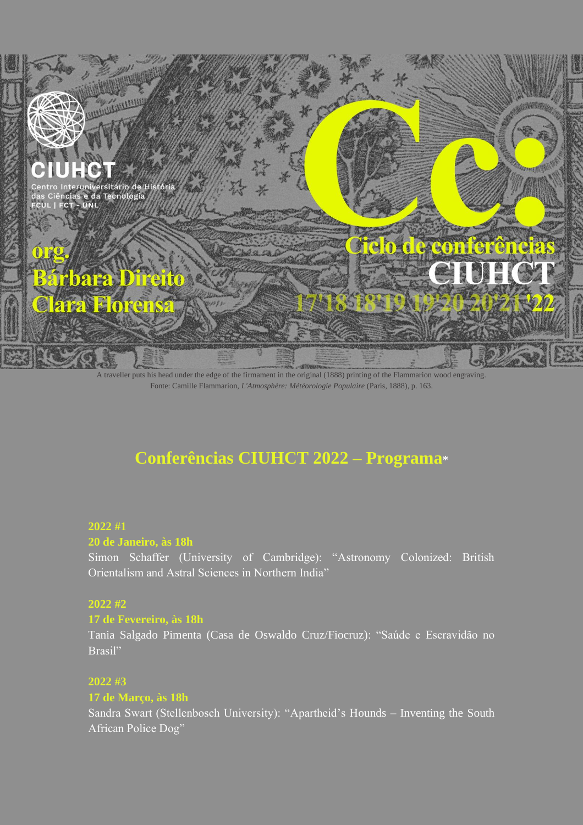

A traveller puts his head under the edge of the firmament in the original (1888) printing of the Flammarion wood engraving. Fonte: Camille Flammarion, *L'Atmosphère: Météorologie Populaire* (Paris, 1888), p. 163.

# **Conferências CIUHCT 2022 – Programa\***

## **2022 #1**

#### **20 de Janeiro, às 18h**

Simon Schaffer (University of Cambridge): "Astronomy Colonized: British Orientalism and Astral Sciences in Northern India"

## **2022 #2**

#### **17 de Fevereiro, às 18h**

Tania Salgado Pimenta (Casa de Oswaldo Cruz/Fiocruz): "Saúde e Escravidão no Brasil"

## **2022 #3**

## **17 de Março, às 18h**

Sandra Swart (Stellenbosch University): "Apartheid's Hounds – Inventing the South African Police Dog"